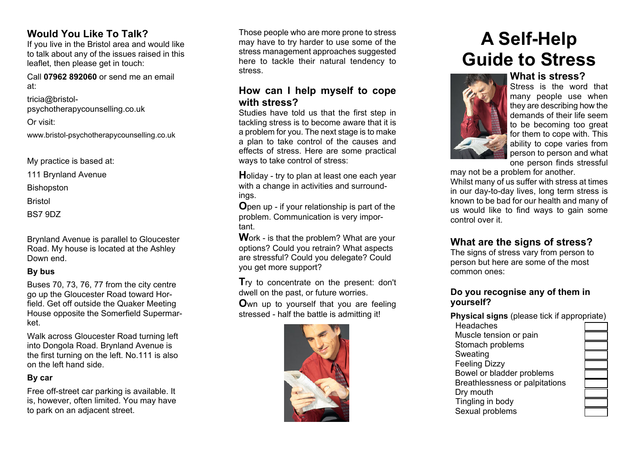## **Would You Like To Talk?**

If you live in the Bristol area and would like to talk about any of the issues raised in this leaflet, then please get in touch:

Call **07962 892060** or send me an email at:

tricia@bristolpsychotherapycounselling.co.uk

Or visit:

www.bristol-psychotherapycounselling.co.uk

My practice is based at:

111 Brynland Avenue

**Bishopston** 

Bristol

BS7 9DZ

Brynland Avenue is parallel to Gloucester Road. My house is located at the Ashley Down end.

## **By bus**

Buses 70, 73, 76, 77 from the city centre go up the Gloucester Road toward Horfield. Get off outside the Quaker Meeting House opposite the Somerfield Supermarket.

Walk across Gloucester Road turning left into Dongola Road. Brynland Avenue is the first turning on the left. No.111 is also on the left hand side.

## **By car**

Free off-street car parking is available. It is, however, often limited. You may have to park on an adjacent street.

Those people who are more prone to stress may have to try harder to use some of the stress management approaches suggested here to tackle their natural tendency to stress.

## **How can I help myself to cope with stress?**

Studies have told us that the first step in tackling stress is to become aware that it is a problem for you. The next stage is to make a plan to take control of the causes and effects of stress. Here are some practical ways to take control of stress:

**H**oliday - try to plan at least one each year with a change in activities and surroundings.

**O**pen up - if your relationship is part of the problem. Communication is very important.

**W**ork - is that the problem? What are your options? Could you retrain? What aspects are stressful? Could you delegate? Could you get more support?

**T**ry to concentrate on the present: don't dwell on the past, or future worries.

**O**wn up to yourself that you are feeling stressed - half the battle is admitting it!



# **A Self-Help Guide to Stress**



**What is stress?** Stress is the word that many people use when they are describing how the demands of their life seem to be becoming too great for them to cope with. This ability to cope varies from person to person and what one person finds stressful

may not be a problem for another.

Whilst many of us suffer with stress at times in our day-to-day lives, long term stress is known to be bad for our health and many of us would like to find ways to gain some control over it.

## **What are the signs of stress?**

The signs of stress vary from person to person but here are some of the most common ones:

## **Do you recognise any of them in yourself?**

**Physical signs** (please tick if appropriate)

**Headaches**  Muscle tension or pain Stomach problems Sweating Feeling Dizzy Bowel or bladder problems Breathlessness or palpitations Dry mouth Tingling in body Sexual problems